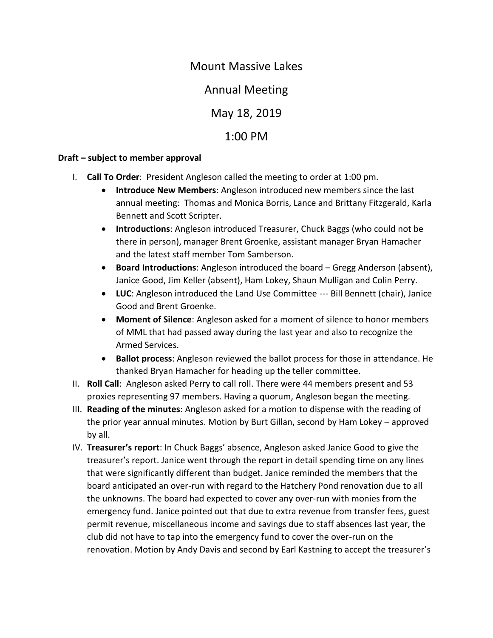## Mount Massive Lakes

Annual Meeting

May 18, 2019

## 1:00 PM

## **Draft – subject to member approval**

- I. **Call To Order**: President Angleson called the meeting to order at 1:00 pm.
	- **Introduce New Members**: Angleson introduced new members since the last annual meeting: Thomas and Monica Borris, Lance and Brittany Fitzgerald, Karla Bennett and Scott Scripter.
	- **Introductions**: Angleson introduced Treasurer, Chuck Baggs (who could not be there in person), manager Brent Groenke, assistant manager Bryan Hamacher and the latest staff member Tom Samberson.
	- **Board Introductions**: Angleson introduced the board Gregg Anderson (absent), Janice Good, Jim Keller (absent), Ham Lokey, Shaun Mulligan and Colin Perry.
	- **LUC**: Angleson introduced the Land Use Committee --- Bill Bennett (chair), Janice Good and Brent Groenke.
	- **Moment of Silence**: Angleson asked for a moment of silence to honor members of MML that had passed away during the last year and also to recognize the Armed Services.
	- **Ballot process**: Angleson reviewed the ballot process for those in attendance. He thanked Bryan Hamacher for heading up the teller committee.
- II. **Roll Call**: Angleson asked Perry to call roll. There were 44 members present and 53 proxies representing 97 members. Having a quorum, Angleson began the meeting.
- III. **Reading of the minutes**: Angleson asked for a motion to dispense with the reading of the prior year annual minutes. Motion by Burt Gillan, second by Ham Lokey – approved by all.
- IV. **Treasurer's report**: In Chuck Baggs' absence, Angleson asked Janice Good to give the treasurer's report. Janice went through the report in detail spending time on any lines that were significantly different than budget. Janice reminded the members that the board anticipated an over-run with regard to the Hatchery Pond renovation due to all the unknowns. The board had expected to cover any over-run with monies from the emergency fund. Janice pointed out that due to extra revenue from transfer fees, guest permit revenue, miscellaneous income and savings due to staff absences last year, the club did not have to tap into the emergency fund to cover the over-run on the renovation. Motion by Andy Davis and second by Earl Kastning to accept the treasurer's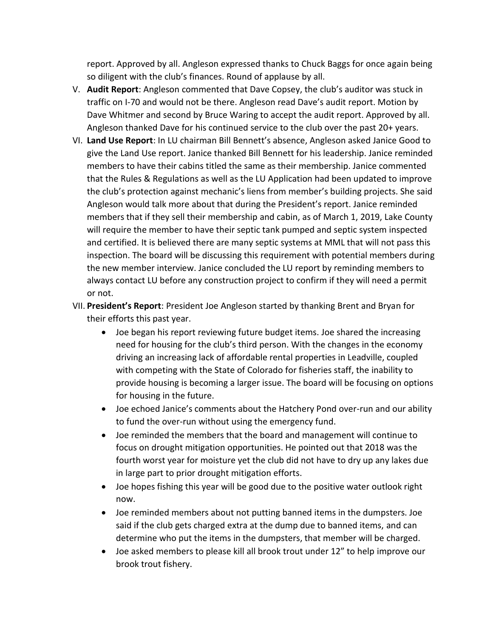report. Approved by all. Angleson expressed thanks to Chuck Baggs for once again being so diligent with the club's finances. Round of applause by all.

- V. **Audit Report**: Angleson commented that Dave Copsey, the club's auditor was stuck in traffic on I-70 and would not be there. Angleson read Dave's audit report. Motion by Dave Whitmer and second by Bruce Waring to accept the audit report. Approved by all. Angleson thanked Dave for his continued service to the club over the past 20+ years.
- VI. **Land Use Report**: In LU chairman Bill Bennett's absence, Angleson asked Janice Good to give the Land Use report. Janice thanked Bill Bennett for his leadership. Janice reminded members to have their cabins titled the same as their membership. Janice commented that the Rules & Regulations as well as the LU Application had been updated to improve the club's protection against mechanic's liens from member's building projects. She said Angleson would talk more about that during the President's report. Janice reminded members that if they sell their membership and cabin, as of March 1, 2019, Lake County will require the member to have their septic tank pumped and septic system inspected and certified. It is believed there are many septic systems at MML that will not pass this inspection. The board will be discussing this requirement with potential members during the new member interview. Janice concluded the LU report by reminding members to always contact LU before any construction project to confirm if they will need a permit or not.
- VII. **President's Report**: President Joe Angleson started by thanking Brent and Bryan for their efforts this past year.
	- Joe began his report reviewing future budget items. Joe shared the increasing need for housing for the club's third person. With the changes in the economy driving an increasing lack of affordable rental properties in Leadville, coupled with competing with the State of Colorado for fisheries staff, the inability to provide housing is becoming a larger issue. The board will be focusing on options for housing in the future.
	- Joe echoed Janice's comments about the Hatchery Pond over-run and our ability to fund the over-run without using the emergency fund.
	- Joe reminded the members that the board and management will continue to focus on drought mitigation opportunities. He pointed out that 2018 was the fourth worst year for moisture yet the club did not have to dry up any lakes due in large part to prior drought mitigation efforts.
	- Joe hopes fishing this year will be good due to the positive water outlook right now.
	- Joe reminded members about not putting banned items in the dumpsters. Joe said if the club gets charged extra at the dump due to banned items, and can determine who put the items in the dumpsters, that member will be charged.
	- Joe asked members to please kill all brook trout under 12" to help improve our brook trout fishery.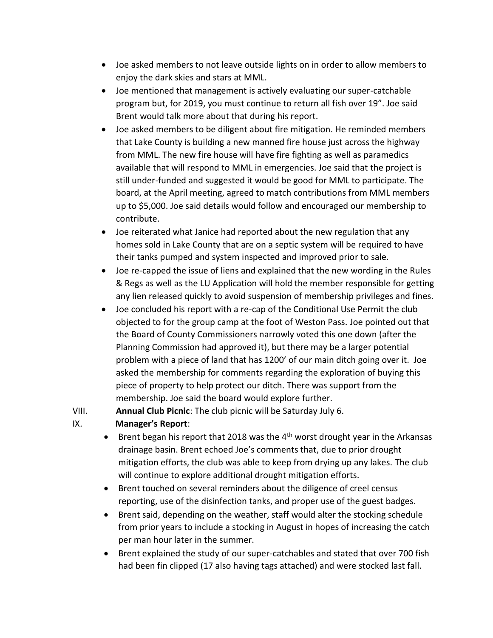- Joe asked members to not leave outside lights on in order to allow members to enjoy the dark skies and stars at MML.
- Joe mentioned that management is actively evaluating our super-catchable program but, for 2019, you must continue to return all fish over 19". Joe said Brent would talk more about that during his report.
- Joe asked members to be diligent about fire mitigation. He reminded members that Lake County is building a new manned fire house just across the highway from MML. The new fire house will have fire fighting as well as paramedics available that will respond to MML in emergencies. Joe said that the project is still under-funded and suggested it would be good for MML to participate. The board, at the April meeting, agreed to match contributions from MML members up to \$5,000. Joe said details would follow and encouraged our membership to contribute.
- Joe reiterated what Janice had reported about the new regulation that any homes sold in Lake County that are on a septic system will be required to have their tanks pumped and system inspected and improved prior to sale.
- Joe re-capped the issue of liens and explained that the new wording in the Rules & Regs as well as the LU Application will hold the member responsible for getting any lien released quickly to avoid suspension of membership privileges and fines.
- Joe concluded his report with a re-cap of the Conditional Use Permit the club objected to for the group camp at the foot of Weston Pass. Joe pointed out that the Board of County Commissioners narrowly voted this one down (after the Planning Commission had approved it), but there may be a larger potential problem with a piece of land that has 1200' of our main ditch going over it. Joe asked the membership for comments regarding the exploration of buying this piece of property to help protect our ditch. There was support from the membership. Joe said the board would explore further.

VIII. **Annual Club Picnic**: The club picnic will be Saturday July 6.

## IX. **Manager's Report**:

- Brent began his report that 2018 was the  $4<sup>th</sup>$  worst drought year in the Arkansas drainage basin. Brent echoed Joe's comments that, due to prior drought mitigation efforts, the club was able to keep from drying up any lakes. The club will continue to explore additional drought mitigation efforts.
- Brent touched on several reminders about the diligence of creel census reporting, use of the disinfection tanks, and proper use of the guest badges.
- Brent said, depending on the weather, staff would alter the stocking schedule from prior years to include a stocking in August in hopes of increasing the catch per man hour later in the summer.
- Brent explained the study of our super-catchables and stated that over 700 fish had been fin clipped (17 also having tags attached) and were stocked last fall.